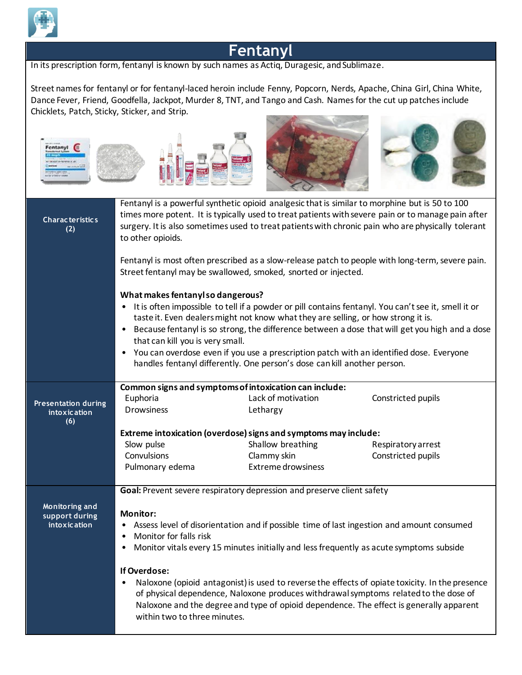

## **Fentanyl**

In its prescription form, fentanyl is known by such names as Actiq, Duragesic, and Sublimaze.

Street names for fentanyl or for fentanyl-laced heroin include Fenny, Popcorn, Nerds, Apache, China Girl, China White, Dance Fever, Friend, Goodfella, Jackpot, Murder 8, TNT, and Tango and Cash. Names for the cut up patches include Chicklets, Patch, Sticky, Sticker, and Strip.



| <b>Characteristics</b><br>(2)                            | Fentanyl is a powerful synthetic opioid analgesic that is similar to morphine but is 50 to 100<br>times more potent. It is typically used to treat patients with severe pain or to manage pain after<br>surgery. It is also sometimes used to treat patients with chronic pain who are physically tolerant<br>to other opioids.                                                                                                                                                                                                                                        |                                                                                          |                    |  |
|----------------------------------------------------------|------------------------------------------------------------------------------------------------------------------------------------------------------------------------------------------------------------------------------------------------------------------------------------------------------------------------------------------------------------------------------------------------------------------------------------------------------------------------------------------------------------------------------------------------------------------------|------------------------------------------------------------------------------------------|--------------------|--|
|                                                          | Fentanyl is most often prescribed as a slow-release patch to people with long-term, severe pain.<br>Street fentanyl may be swallowed, smoked, snorted or injected.                                                                                                                                                                                                                                                                                                                                                                                                     |                                                                                          |                    |  |
|                                                          | What makes fentanyl so dangerous?<br>• It is often impossible to tell if a powder or pill contains fentanyl. You can't see it, smell it or<br>taste it. Even dealers might not know what they are selling, or how strong it is.<br>Because fentanyl is so strong, the difference between a dose that will get you high and a dose<br>$\bullet$<br>that can kill you is very small.<br>You can overdose even if you use a prescription patch with an identified dose. Everyone<br>$\bullet$<br>handles fentanyl differently. One person's dose can kill another person. |                                                                                          |                    |  |
| <b>Presentation during</b><br><b>intoxication</b><br>(6) | Euphoria<br><b>Drowsiness</b>                                                                                                                                                                                                                                                                                                                                                                                                                                                                                                                                          | Common signs and symptoms of intoxication can include:<br>Lack of motivation<br>Lethargy | Constricted pupils |  |
|                                                          | Extreme intoxication (overdose) signs and symptoms may include:                                                                                                                                                                                                                                                                                                                                                                                                                                                                                                        |                                                                                          |                    |  |
|                                                          | Slow pulse                                                                                                                                                                                                                                                                                                                                                                                                                                                                                                                                                             | Shallow breathing                                                                        | Respiratory arrest |  |
|                                                          | Convulsions                                                                                                                                                                                                                                                                                                                                                                                                                                                                                                                                                            | Clammy skin                                                                              | Constricted pupils |  |
|                                                          | Pulmonary edema                                                                                                                                                                                                                                                                                                                                                                                                                                                                                                                                                        | <b>Extreme drowsiness</b>                                                                |                    |  |
|                                                          |                                                                                                                                                                                                                                                                                                                                                                                                                                                                                                                                                                        | Goal: Prevent severe respiratory depression and preserve client safety                   |                    |  |
| Monitoring and<br>support during<br><i>intoxication</i>  | <b>Monitor:</b><br>Assess level of disorientation and if possible time of last ingestion and amount consumed<br>٠<br>Monitor for falls risk<br>٠<br>Monitor vitals every 15 minutes initially and less frequently as acute symptoms subside<br>$\bullet$                                                                                                                                                                                                                                                                                                               |                                                                                          |                    |  |
|                                                          | If Overdose:<br>Naloxone (opioid antagonist) is used to reverse the effects of opiate toxicity. In the presence<br>$\bullet$<br>of physical dependence, Naloxone produces withdrawal symptoms related to the dose of<br>Naloxone and the degree and type of opioid dependence. The effect is generally apparent<br>within two to three minutes.                                                                                                                                                                                                                        |                                                                                          |                    |  |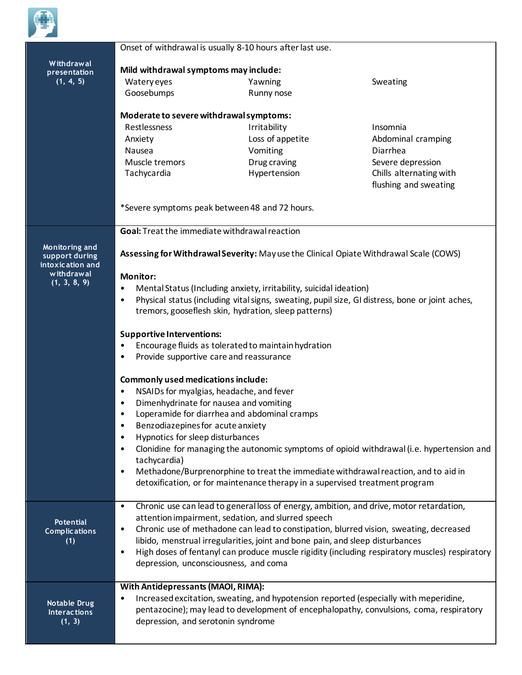

|                                          | Onset of withdrawal is usually 8-10 hours after last use.                                                                                                                                                                                                                                                                                                                         |                                                                                           |                                                                                                |  |  |
|------------------------------------------|-----------------------------------------------------------------------------------------------------------------------------------------------------------------------------------------------------------------------------------------------------------------------------------------------------------------------------------------------------------------------------------|-------------------------------------------------------------------------------------------|------------------------------------------------------------------------------------------------|--|--|
| Withdrawal                               | Mild withdrawal symptoms may include:                                                                                                                                                                                                                                                                                                                                             |                                                                                           |                                                                                                |  |  |
| presentation<br>(1, 4, 5)                | Watery eyes                                                                                                                                                                                                                                                                                                                                                                       | Yawning                                                                                   | Sweating                                                                                       |  |  |
|                                          | Goosebumps                                                                                                                                                                                                                                                                                                                                                                        | Runny nose                                                                                |                                                                                                |  |  |
|                                          |                                                                                                                                                                                                                                                                                                                                                                                   |                                                                                           |                                                                                                |  |  |
|                                          | Moderate to severe withdrawal symptoms:<br>Restlessness<br>Irritability<br>Insomnia                                                                                                                                                                                                                                                                                               |                                                                                           |                                                                                                |  |  |
|                                          | Anxiety                                                                                                                                                                                                                                                                                                                                                                           | Loss of appetite                                                                          | Abdominal cramping                                                                             |  |  |
|                                          | Nausea                                                                                                                                                                                                                                                                                                                                                                            | Vomiting                                                                                  | Diarrhea                                                                                       |  |  |
|                                          | Muscle tremors                                                                                                                                                                                                                                                                                                                                                                    | Drug craving                                                                              | Severe depression                                                                              |  |  |
|                                          | Tachycardia                                                                                                                                                                                                                                                                                                                                                                       | Hypertension                                                                              | Chills alternating with                                                                        |  |  |
|                                          |                                                                                                                                                                                                                                                                                                                                                                                   |                                                                                           | flushing and sweating                                                                          |  |  |
|                                          | *Severe symptoms peak between 48 and 72 hours.                                                                                                                                                                                                                                                                                                                                    |                                                                                           |                                                                                                |  |  |
|                                          | Goal: Treat the immediate withdrawal reaction                                                                                                                                                                                                                                                                                                                                     |                                                                                           |                                                                                                |  |  |
| Monitoring and                           | Assessing for Withdrawal Severity: May use the Clinical Opiate Withdrawal Scale (COWS)                                                                                                                                                                                                                                                                                            |                                                                                           |                                                                                                |  |  |
| support during<br>intoxication and       |                                                                                                                                                                                                                                                                                                                                                                                   |                                                                                           |                                                                                                |  |  |
| withdrawal                               | <b>Monitor:</b>                                                                                                                                                                                                                                                                                                                                                                   |                                                                                           |                                                                                                |  |  |
| (1, 3, 8, 9)                             | Mental Status (Including anxiety, irritability, suicidal ideation)<br>$\bullet$                                                                                                                                                                                                                                                                                                   |                                                                                           |                                                                                                |  |  |
|                                          | Physical status (including vital signs, sweating, pupil size, GI distress, bone or joint aches,<br>$\bullet$<br>tremors, gooseflesh skin, hydration, sleep patterns)<br><b>Supportive Interventions:</b><br>Encourage fluids as tolerated to maintain hydration<br>$\bullet$<br>Provide supportive care and reassurance<br>$\bullet$<br><b>Commonly used medications include:</b> |                                                                                           |                                                                                                |  |  |
|                                          |                                                                                                                                                                                                                                                                                                                                                                                   |                                                                                           |                                                                                                |  |  |
|                                          |                                                                                                                                                                                                                                                                                                                                                                                   |                                                                                           |                                                                                                |  |  |
|                                          |                                                                                                                                                                                                                                                                                                                                                                                   |                                                                                           |                                                                                                |  |  |
|                                          |                                                                                                                                                                                                                                                                                                                                                                                   |                                                                                           |                                                                                                |  |  |
|                                          |                                                                                                                                                                                                                                                                                                                                                                                   |                                                                                           |                                                                                                |  |  |
|                                          | NSAIDs for myalgias, headache, and fever<br>$\bullet$                                                                                                                                                                                                                                                                                                                             |                                                                                           |                                                                                                |  |  |
|                                          | Dimenhydrinate for nausea and vomiting<br>$\bullet$                                                                                                                                                                                                                                                                                                                               |                                                                                           |                                                                                                |  |  |
|                                          | Loperamide for diarrhea and abdominal cramps<br>Benzodiazepines for acute anxiety<br>$\bullet$                                                                                                                                                                                                                                                                                    |                                                                                           |                                                                                                |  |  |
|                                          |                                                                                                                                                                                                                                                                                                                                                                                   |                                                                                           |                                                                                                |  |  |
|                                          | Hypnotics for sleep disturbances<br>$\bullet$                                                                                                                                                                                                                                                                                                                                     |                                                                                           |                                                                                                |  |  |
|                                          | $\bullet$<br>tachycardia)                                                                                                                                                                                                                                                                                                                                                         | Clonidine for managing the autonomic symptoms of opioid withdrawal (i.e. hypertension and |                                                                                                |  |  |
|                                          | Methadone/Burprenorphine to treat the immediate withdrawal reaction, and to aid in<br>$\bullet$                                                                                                                                                                                                                                                                                   |                                                                                           |                                                                                                |  |  |
|                                          |                                                                                                                                                                                                                                                                                                                                                                                   | detoxification, or for maintenance therapy in a supervised treatment program              |                                                                                                |  |  |
|                                          |                                                                                                                                                                                                                                                                                                                                                                                   |                                                                                           |                                                                                                |  |  |
|                                          | Chronic use can lead to general loss of energy, ambition, and drive, motor retardation,<br>$\bullet$<br>attention impairment, sedation, and slurred speech                                                                                                                                                                                                                        |                                                                                           |                                                                                                |  |  |
| <b>Potential</b><br><b>Complications</b> | Chronic use of methadone can lead to constipation, blurred vision, sweating, decreased<br>$\bullet$                                                                                                                                                                                                                                                                               |                                                                                           |                                                                                                |  |  |
| (1)                                      | libido, menstrual irregularities, joint and bone pain, and sleep disturbances                                                                                                                                                                                                                                                                                                     |                                                                                           |                                                                                                |  |  |
|                                          | $\bullet$                                                                                                                                                                                                                                                                                                                                                                         |                                                                                           | High doses of fentanyl can produce muscle rigidity (including respiratory muscles) respiratory |  |  |
|                                          | depression, unconsciousness, and coma                                                                                                                                                                                                                                                                                                                                             |                                                                                           |                                                                                                |  |  |
|                                          | With Antidepressants (MAOI, RIMA):                                                                                                                                                                                                                                                                                                                                                |                                                                                           |                                                                                                |  |  |
| <b>Notable Drug</b>                      | Increased excitation, sweating, and hypotension reported (especially with meperidine,<br>$\bullet$                                                                                                                                                                                                                                                                                |                                                                                           |                                                                                                |  |  |
| <b>Interactions</b>                      | pentazocine); may lead to development of encephalopathy, convulsions, coma, respiratory                                                                                                                                                                                                                                                                                           |                                                                                           |                                                                                                |  |  |
| (1, 3)                                   | depression, and serotonin syndrome                                                                                                                                                                                                                                                                                                                                                |                                                                                           |                                                                                                |  |  |
|                                          |                                                                                                                                                                                                                                                                                                                                                                                   |                                                                                           |                                                                                                |  |  |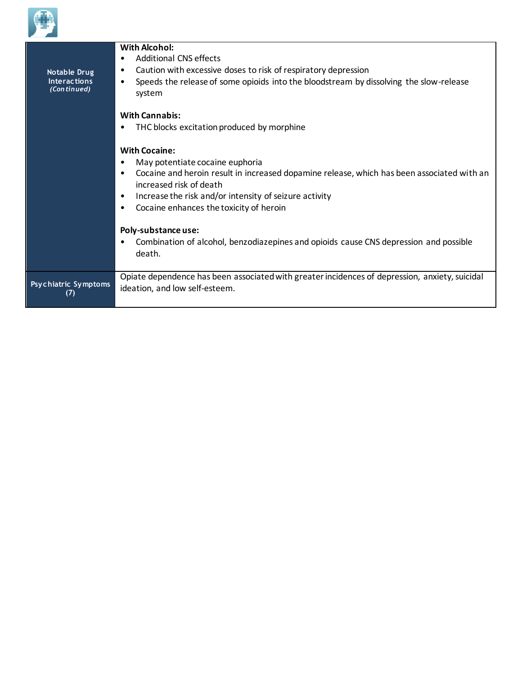

| Notable Drug<br><b>Interactions</b><br>(Continued) | With Alcohol:<br><b>Additional CNS effects</b><br>Caution with excessive doses to risk of respiratory depression<br>٠<br>Speeds the release of some opioids into the bloodstream by dissolving the slow-release<br>٠<br>system                                                                                                                                                                                  |
|----------------------------------------------------|-----------------------------------------------------------------------------------------------------------------------------------------------------------------------------------------------------------------------------------------------------------------------------------------------------------------------------------------------------------------------------------------------------------------|
|                                                    | <b>With Cannabis:</b><br>THC blocks excitation produced by morphine                                                                                                                                                                                                                                                                                                                                             |
|                                                    | <b>With Cocaine:</b><br>May potentiate cocaine euphoria<br>Cocaine and heroin result in increased dopamine release, which has been associated with an<br>increased risk of death<br>Increase the risk and/or intensity of seizure activity<br>Cocaine enhances the toxicity of heroin<br>Poly-substance use:<br>Combination of alcohol, benzodiazepines and opioids cause CNS depression and possible<br>death. |
| <b>Psychiatric Symptoms</b><br>(7)                 | Opiate dependence has been associated with greater incidences of depression, anxiety, suicidal<br>ideation, and low self-esteem.                                                                                                                                                                                                                                                                                |